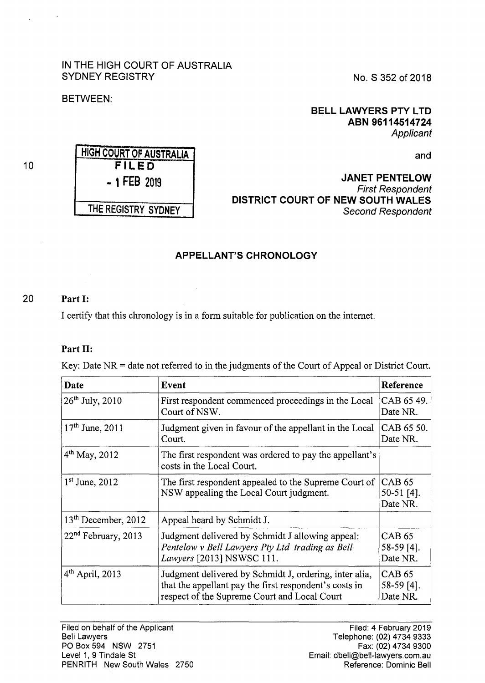# IN THE HIGH COURT OF AUSTRALIA SYDNEY REGISTRY

HIGH COURT OF AUSTRALIA **FILED**  - 1 FEB <sup>2019</sup>

THE REGISTRY SYDNEY

No. S 352 of 2018

## BETWEEN:

## **BELL LAWYERS PTY LTD ABN 96114514724**  Applicant

and

**JANET PENTELOW**  First Respondent **DISTRICT COURT OF NEW SOUTH WALES**  Second Respondent

# **APPELLANT'S CHRONOLOGY**

## 20 **Part** I:

I certify that this chronology is in a form suitable for publication on the internet.

 $\mathcal{L}$ 

## **Part** II:

Key: Date  $NR =$  date not referred to in the judgments of the Court of Appeal or District Court.

| Date                            | Event                                                                                                                                                            | Reference                                 |
|---------------------------------|------------------------------------------------------------------------------------------------------------------------------------------------------------------|-------------------------------------------|
| $26^{th}$ July, 2010            | First respondent commenced proceedings in the Local<br>Court of NSW.                                                                                             | CAB 65 49.<br>Date NR.                    |
| $17th$ June, 2011               | Judgment given in favour of the appellant in the Local<br>Court.                                                                                                 | CAB 65 50.<br>Date NR.                    |
| 4 <sup>th</sup> May, 2012       | The first respondent was ordered to pay the appellant's<br>costs in the Local Court.                                                                             |                                           |
| $1st$ June, 2012                | The first respondent appealed to the Supreme Court of<br>NSW appealing the Local Court judgment.                                                                 | <b>CAB 65</b><br>$50-51$ [4].<br>Date NR. |
| 13 <sup>th</sup> December, 2012 | Appeal heard by Schmidt J.                                                                                                                                       |                                           |
| 22 <sup>nd</sup> February, 2013 | Judgment delivered by Schmidt J allowing appeal:<br>Pentelow v Bell Lawyers Pty Ltd trading as Bell<br>Lawyers [2013] NSWSC 111.                                 | <b>CAB 65</b><br>$58-59$ [4].<br>Date NR. |
| $4th$ April, 2013               | Judgment delivered by Schmidt J, ordering, inter alia,<br>that the appellant pay the first respondent's costs in<br>respect of the Supreme Court and Local Court | CAB 65<br>$58-59$ [4].<br>Date NR.        |

Filed: 4 February 2019 Telephone: (02) 4734 9333 Fax: (02) 4734 9300 Email: dbell@bell-lawyers.com.au Reference: Dominic Bell

10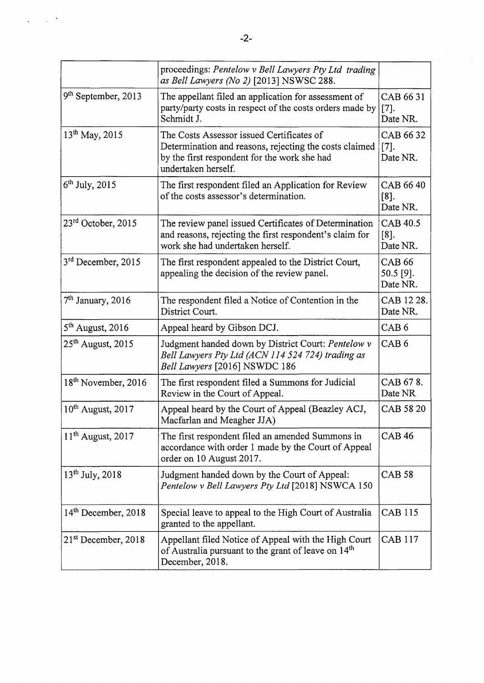|                                 | proceedings: Pentelow v Bell Lawyers Pty Ltd trading<br>as Bell Lawyers (No 2) [2013] NSWSC 288.                                                                           |                                          |
|---------------------------------|----------------------------------------------------------------------------------------------------------------------------------------------------------------------------|------------------------------------------|
| 9 <sup>th</sup> September, 2013 | The appellant filed an application for assessment of<br>party/party costs in respect of the costs orders made by<br>Schmidt J.                                             | CAB 66 31<br>$[7]$ .<br>Date NR.         |
| 13 <sup>th</sup> May, 2015      | The Costs Assessor issued Certificates of<br>Determination and reasons, rejecting the costs claimed<br>by the first respondent for the work she had<br>undertaken herself. | CAB 66 32<br>$[7]$ .<br>Date NR.         |
| $6th$ July, 2015                | The first respondent filed an Application for Review<br>of the costs assessor's determination.                                                                             | CAB 66 40<br>$[8]$ .<br>Date NR.         |
| $23rd$ October, 2015            | The review panel issued Certificates of Determination<br>and reasons, rejecting the first respondent's claim for<br>work she had undertaken herself.                       | <b>CAB 40.5</b><br>$[8]$ .<br>Date NR.   |
| 3 <sup>rd</sup> December, 2015  | The first respondent appealed to the District Court,<br>appealing the decision of the review panel.                                                                        | <b>CAB 66</b><br>$50.5$ [9].<br>Date NR. |
| $7th$ January, 2016             | The respondent filed a Notice of Contention in the<br>District Court.                                                                                                      | CAB 12 28.<br>Date NR.                   |
| $5th$ August, 2016              | Appeal heard by Gibson DCJ.                                                                                                                                                | CAB <sub>6</sub>                         |
| $25th$ August, 2015             | Judgment handed down by District Court: Pentelow v<br>Bell Lawyers Pty Ltd (ACN 114 524 724) trading as<br>Bell Lawyers [2016] NSWDC 186                                   | CAB <sub>6</sub>                         |
| 18 <sup>th</sup> November, 2016 | The first respondent filed a Summons for Judicial<br>Review in the Court of Appeal.                                                                                        | CAB 678.<br>Date NR                      |
| $10^{th}$ August, 2017          | Appeal heard by the Court of Appeal (Beazley ACJ,<br>Macfarlan and Meagher JJA)                                                                                            | CAB 58 20                                |
| $11th$ August, 2017             | The first respondent filed an amended Summons in<br>accordance with order 1 made by the Court of Appeal<br>order on 10 August 2017.                                        | <b>CAB 46</b>                            |
| $13^{th}$ July, 2018            | Judgment handed down by the Court of Appeal:<br>Pentelow v Bell Lawyers Pty Ltd [2018] NSWCA 150                                                                           | <b>CAB 58</b>                            |
| 14th December, 2018             | Special leave to appeal to the High Court of Australia<br>granted to the appellant.                                                                                        | <b>CAB 115</b>                           |
| $21st$ December, 2018           | Appellant filed Notice of Appeal with the High Court<br>of Australia pursuant to the grant of leave on 14 <sup>th</sup><br>December, 2018.                                 | <b>CAB 117</b>                           |

 $\ddot{\phantom{0}}$  $\sim$   $^{-1}$